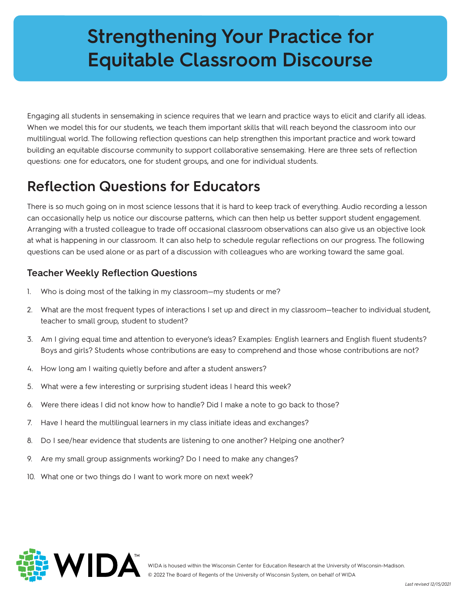# **Strengthening Your Practice for Equitable Classroom Discourse**

Engaging all students in sensemaking in science requires that we learn and practice ways to elicit and clarify all ideas. When we model this for our students, we teach them important skills that will reach beyond the classroom into our multilingual world. The following reflection questions can help strengthen this important practice and work toward building an equitable discourse community to support collaborative sensemaking. Here are three sets of reflection questions: one for educators, one for student groups, and one for individual students.

## **Reflection Questions for Educators**

There is so much going on in most science lessons that it is hard to keep track of everything. Audio recording a lesson can occasionally help us notice our discourse patterns, which can then help us better support student engagement. Arranging with a trusted colleague to trade off occasional classroom observations can also give us an objective look at what is happening in our classroom. It can also help to schedule regular reflections on our progress. The following questions can be used alone or as part of a discussion with colleagues who are working toward the same goal.

#### **Teacher Weekly Reflection Questions**

- 1. Who is doing most of the talking in my classroom—my students or me?
- 2. What are the most frequent types of interactions I set up and direct in my classroom—teacher to individual student, teacher to small group, student to student?
- 3. Am I giving equal time and attention to everyone's ideas? Examples: English learners and English fluent students? Boys and girls? Students whose contributions are easy to comprehend and those whose contributions are not?
- 4. How long am I waiting quietly before and after a student answers?
- 5. What were a few interesting or surprising student ideas I heard this week?
- 6. Were there ideas I did not know how to handle? Did I make a note to go back to those?
- 7. Have I heard the multilingual learners in my class initiate ideas and exchanges?
- 8. Do I see/hear evidence that students are listening to one another? Helping one another?
- 9. Are my small group assignments working? Do I need to make any changes?
- 10. What one or two things do I want to work more on next week?